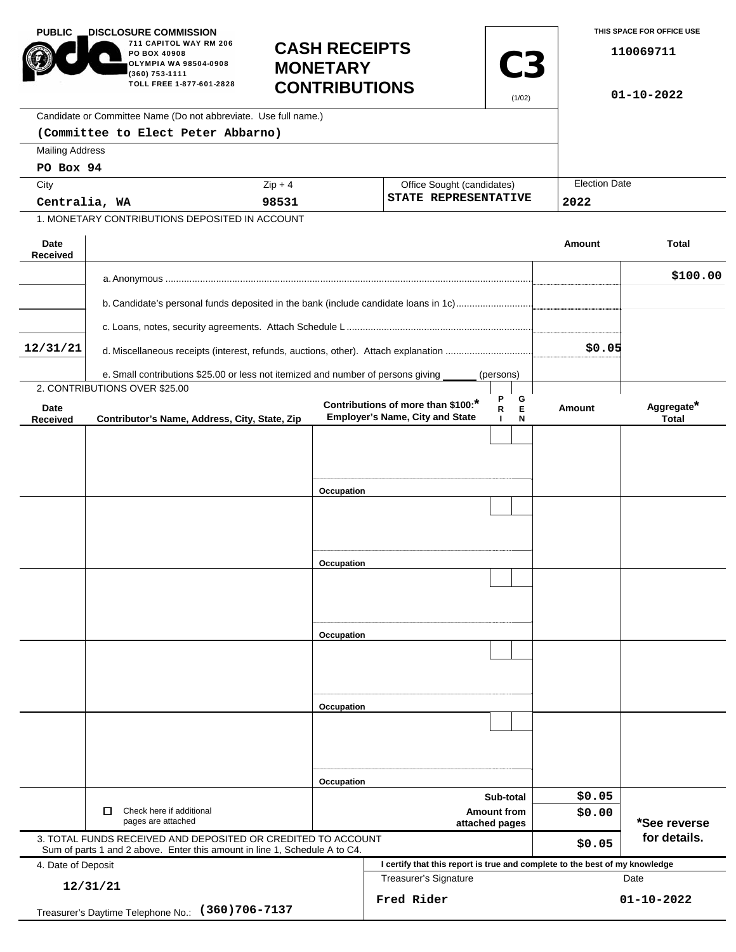| <b>PUBLIC</b>                                                   | <b>DISCLOSURE COMMISSION.</b><br>711 CAPITOL WAY RM 206<br>PO BOX 40908<br>OLYMPIA WA 98504-0908<br>(360) 753-1111<br>TOLL FREE 1-877-601-2828 | <b>CASH RECEIPTS</b><br><b>MONETARY</b><br><b>CONTRIBUTIONS</b> |                                                                              | <b>C3</b><br>(1/02)                                |                      | THIS SPACE FOR OFFICE USE<br>110069711<br>$01 - 10 - 2022$ |
|-----------------------------------------------------------------|------------------------------------------------------------------------------------------------------------------------------------------------|-----------------------------------------------------------------|------------------------------------------------------------------------------|----------------------------------------------------|----------------------|------------------------------------------------------------|
|                                                                 | Candidate or Committee Name (Do not abbreviate. Use full name.)                                                                                |                                                                 |                                                                              |                                                    |                      |                                                            |
|                                                                 | (Committee to Elect Peter Abbarno)                                                                                                             |                                                                 |                                                                              |                                                    |                      |                                                            |
| <b>Mailing Address</b>                                          |                                                                                                                                                |                                                                 |                                                                              |                                                    |                      |                                                            |
| PO Box 94                                                       |                                                                                                                                                |                                                                 |                                                                              |                                                    | <b>Election Date</b> |                                                            |
| City                                                            |                                                                                                                                                | $Zip + 4$                                                       |                                                                              | Office Sought (candidates)<br>STATE REPRESENTATIVE |                      |                                                            |
| Centralia, WA<br>1. MONETARY CONTRIBUTIONS DEPOSITED IN ACCOUNT |                                                                                                                                                | 98531                                                           |                                                                              |                                                    | 2022                 |                                                            |
|                                                                 |                                                                                                                                                |                                                                 |                                                                              |                                                    |                      |                                                            |
| Date<br><b>Received</b>                                         |                                                                                                                                                |                                                                 |                                                                              |                                                    | Amount               | <b>Total</b>                                               |
|                                                                 |                                                                                                                                                |                                                                 |                                                                              |                                                    |                      |                                                            |
|                                                                 |                                                                                                                                                |                                                                 |                                                                              |                                                    |                      | \$100.00                                                   |
|                                                                 | b. Candidate's personal funds deposited in the bank (include candidate loans in 1c)                                                            |                                                                 |                                                                              |                                                    |                      |                                                            |
|                                                                 |                                                                                                                                                |                                                                 |                                                                              |                                                    |                      |                                                            |
|                                                                 |                                                                                                                                                |                                                                 |                                                                              |                                                    |                      |                                                            |
| 12/31/21                                                        |                                                                                                                                                |                                                                 |                                                                              |                                                    | \$0.05               |                                                            |
|                                                                 | e. Small contributions \$25.00 or less not itemized and number of persons giving                                                               |                                                                 |                                                                              | (persons)                                          |                      |                                                            |
|                                                                 | 2. CONTRIBUTIONS OVER \$25.00                                                                                                                  |                                                                 |                                                                              | G                                                  |                      |                                                            |
| Date<br><b>Received</b>                                         | Contributor's Name, Address, City, State, Zip                                                                                                  |                                                                 | Contributions of more than \$100:*<br><b>Employer's Name, City and State</b> | Е<br>R<br>J.<br>N                                  | Amount               | Aggregate*<br><b>Total</b>                                 |
|                                                                 |                                                                                                                                                |                                                                 |                                                                              |                                                    |                      |                                                            |
|                                                                 |                                                                                                                                                |                                                                 |                                                                              |                                                    |                      |                                                            |
|                                                                 |                                                                                                                                                |                                                                 |                                                                              |                                                    |                      |                                                            |
|                                                                 |                                                                                                                                                | Occupation                                                      |                                                                              |                                                    |                      |                                                            |
|                                                                 |                                                                                                                                                |                                                                 |                                                                              |                                                    |                      |                                                            |
|                                                                 |                                                                                                                                                |                                                                 |                                                                              |                                                    |                      |                                                            |
|                                                                 |                                                                                                                                                |                                                                 |                                                                              |                                                    |                      |                                                            |
|                                                                 |                                                                                                                                                | Occupation                                                      |                                                                              |                                                    |                      |                                                            |
|                                                                 |                                                                                                                                                |                                                                 |                                                                              |                                                    |                      |                                                            |
|                                                                 |                                                                                                                                                |                                                                 |                                                                              |                                                    |                      |                                                            |
|                                                                 |                                                                                                                                                |                                                                 |                                                                              |                                                    |                      |                                                            |
|                                                                 |                                                                                                                                                | Occupation                                                      |                                                                              |                                                    |                      |                                                            |
|                                                                 |                                                                                                                                                |                                                                 |                                                                              |                                                    |                      |                                                            |
|                                                                 |                                                                                                                                                |                                                                 |                                                                              |                                                    |                      |                                                            |
|                                                                 |                                                                                                                                                |                                                                 |                                                                              |                                                    |                      |                                                            |
|                                                                 |                                                                                                                                                | Occupation                                                      |                                                                              |                                                    |                      |                                                            |
|                                                                 |                                                                                                                                                |                                                                 |                                                                              |                                                    |                      |                                                            |
|                                                                 |                                                                                                                                                |                                                                 |                                                                              |                                                    |                      |                                                            |
|                                                                 |                                                                                                                                                |                                                                 |                                                                              |                                                    |                      |                                                            |
|                                                                 |                                                                                                                                                |                                                                 |                                                                              |                                                    |                      |                                                            |
|                                                                 |                                                                                                                                                |                                                                 | Occupation<br>Sub-total<br><b>Amount from</b>                                |                                                    | \$0.05               |                                                            |
|                                                                 | Check here if additional<br>□                                                                                                                  |                                                                 |                                                                              |                                                    | \$0.00               |                                                            |
| pages are attached                                              |                                                                                                                                                |                                                                 | attached pages                                                               |                                                    |                      | *See reverse<br>for details.                               |
|                                                                 | 3. TOTAL FUNDS RECEIVED AND DEPOSITED OR CREDITED TO ACCOUNT<br>Sum of parts 1 and 2 above. Enter this amount in line 1, Schedule A to C4.     |                                                                 |                                                                              |                                                    | \$0.05               |                                                            |
| 4. Date of Deposit                                              |                                                                                                                                                |                                                                 | I certify that this report is true and complete to the best of my knowledge  |                                                    |                      |                                                            |
| 12/31/21                                                        |                                                                                                                                                |                                                                 | <b>Treasurer's Signature</b>                                                 |                                                    |                      | Date                                                       |
| $(360)706 - 7137$                                               |                                                                                                                                                |                                                                 | Fred Rider                                                                   |                                                    |                      | $01 - 10 - 2022$                                           |
|                                                                 | Treasurer's Daytime Telephone No.:                                                                                                             |                                                                 |                                                                              |                                                    |                      |                                                            |